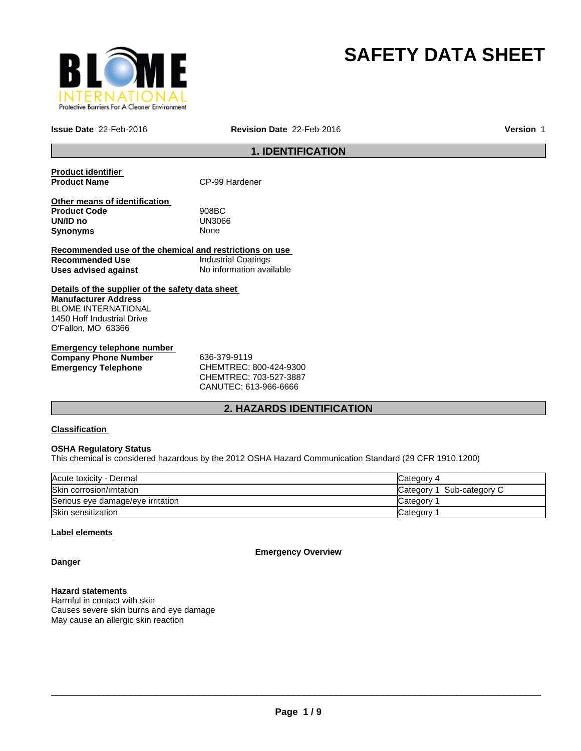

# **SAFETY DATA SHEET**

**Issue Date** 22-Feb-2016 **Revision Date** 22-Feb-2016

**Version** 1

# **1. IDENTIFICATION**

**Product identifier** 

**CP-99 Hardener** 

**Other means of identification Product Code** 908BC **UN/ID no** UN30<br>**Synonyms** None **Synonyms** 

**Recommended use of the chemical and restrictions on use Recommended Use Industrial Coatings**<br> **Uses advised against Internation** No information available **Uses advised against** 

**Details of the supplier of the safety data sheet Manufacturer Address** BLOME INTERNATIONAL 1450 Hoff Industrial Drive O'Fallon, MO 63366

**Emergency telephone number Company Phone Number** 636-379-9119 **Emergency Telephone** CHEMTREC: 800-424-9300

CHEMTREC: 703-527-3887 CANUTEC: 613-966-6666

## **2. HAZARDS IDENTIFICATION**

## **Classification**

## **OSHA Regulatory Status**

This chemical is considered hazardous by the 2012 OSHA Hazard Communication Standard (29 CFR 1910.1200)

| Acute toxicity - Dermal           | Category 4                 |
|-----------------------------------|----------------------------|
| Skin corrosion/irritation         | Sub-category C<br>Category |
| Serious eye damage/eye irritation | Category                   |
| Skin sensitization                | Category                   |

#### **Label elements**

**Emergency Overview**

**Danger**

#### **Hazard statements**

Harmful in contact with skin Causes severe skin burns and eye damage May cause an allergic skin reaction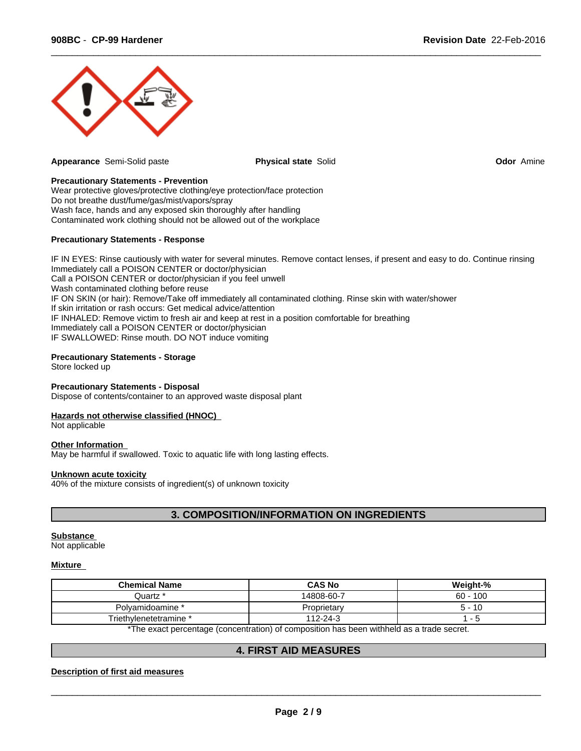

**Appearance** Semi-Solid paste **Physical state** Solid **Odor** Amine

 $\overline{\phantom{a}}$  ,  $\overline{\phantom{a}}$  ,  $\overline{\phantom{a}}$  ,  $\overline{\phantom{a}}$  ,  $\overline{\phantom{a}}$  ,  $\overline{\phantom{a}}$  ,  $\overline{\phantom{a}}$  ,  $\overline{\phantom{a}}$  ,  $\overline{\phantom{a}}$  ,  $\overline{\phantom{a}}$  ,  $\overline{\phantom{a}}$  ,  $\overline{\phantom{a}}$  ,  $\overline{\phantom{a}}$  ,  $\overline{\phantom{a}}$  ,  $\overline{\phantom{a}}$  ,  $\overline{\phantom{a}}$ 

## **Precautionary Statements - Prevention**

Wear protective gloves/protective clothing/eye protection/face protection Do not breathe dust/fume/gas/mist/vapors/spray Wash face, hands and any exposed skin thoroughly after handling Contaminated work clothing should not be allowed out of the workplace

#### **Precautionary Statements - Response**

IF IN EYES: Rinse cautiously with water for several minutes. Remove contact lenses, if present and easy to do. Continue rinsing Immediately call a POISON CENTER or doctor/physician Call a POISON CENTER or doctor/physician if you feel unwell Wash contaminated clothing before reuse IF ON SKIN (or hair): Remove/Take off immediately all contaminated clothing. Rinse skin with water/shower If skin irritation or rash occurs: Get medical advice/attention IF INHALED: Remove victim to fresh air and keep at rest in a position comfortable for breathing Immediately call a POISON CENTER or doctor/physician IF SWALLOWED: Rinse mouth. DO NOT induce vomiting

#### **Precautionary Statements - Storage**

Store locked up

#### **Precautionary Statements - Disposal**

Dispose of contents/container to an approved waste disposal plant

#### **Hazards not otherwise classified (HNOC)**

Not applicable

#### **Other Information**

May be harmful if swallowed. Toxic to aquatic life with long lasting effects.

#### **Unknown acute toxicity**

40% of the mixture consists of ingredient(s) of unknown toxicity

## **3. COMPOSITION/INFORMATION ON INGREDIENTS**

#### **Substance**

Not applicable

#### **Mixture**

| <b>Chemical Name</b>   | <b>CAS No</b> | Weight-%   |
|------------------------|---------------|------------|
| Quartz *               | 14808-60-7    | $60 - 100$ |
| Polvamidoamine *       | Proprietary   | -10        |
| Triethylenetetramine * | 112-24-3      |            |
|                        |               |            |

\*The exact percentage (concentration) of composition has been withheld as a trade secret.

#### **4. FIRST AID MEASURES**

**Description of first aid measures**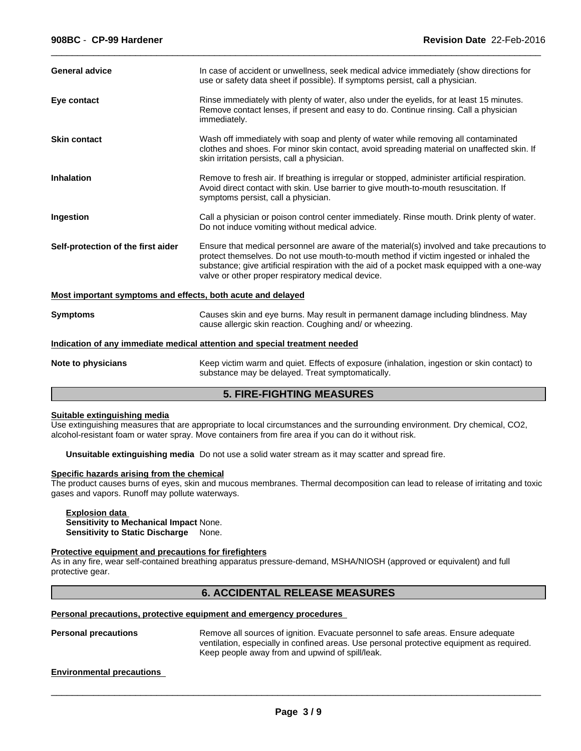| <b>General advice</b>                                       | In case of accident or unwellness, seek medical advice immediately (show directions for<br>use or safety data sheet if possible). If symptoms persist, call a physician.                                                                                                                                                                   |
|-------------------------------------------------------------|--------------------------------------------------------------------------------------------------------------------------------------------------------------------------------------------------------------------------------------------------------------------------------------------------------------------------------------------|
| Eye contact                                                 | Rinse immediately with plenty of water, also under the eyelids, for at least 15 minutes.<br>Remove contact lenses, if present and easy to do. Continue rinsing. Call a physician<br>immediately.                                                                                                                                           |
| <b>Skin contact</b>                                         | Wash off immediately with soap and plenty of water while removing all contaminated<br>clothes and shoes. For minor skin contact, avoid spreading material on unaffected skin. If<br>skin irritation persists, call a physician.                                                                                                            |
| <b>Inhalation</b>                                           | Remove to fresh air. If breathing is irregular or stopped, administer artificial respiration.<br>Avoid direct contact with skin. Use barrier to give mouth-to-mouth resuscitation. If<br>symptoms persist, call a physician.                                                                                                               |
| Ingestion                                                   | Call a physician or poison control center immediately. Rinse mouth. Drink plenty of water.<br>Do not induce vomiting without medical advice.                                                                                                                                                                                               |
| Self-protection of the first aider                          | Ensure that medical personnel are aware of the material(s) involved and take precautions to<br>protect themselves. Do not use mouth-to-mouth method if victim ingested or inhaled the<br>substance; give artificial respiration with the aid of a pocket mask equipped with a one-way<br>valve or other proper respiratory medical device. |
| Most important symptoms and effects, both acute and delayed |                                                                                                                                                                                                                                                                                                                                            |
| <b>Symptoms</b>                                             | Causes skin and eye burns. May result in permanent damage including blindness. May<br>cause allergic skin reaction. Coughing and/ or wheezing.                                                                                                                                                                                             |
|                                                             | Indication of any immediate medical attention and special treatment needed                                                                                                                                                                                                                                                                 |
| Note to physicians                                          | Keep victim warm and quiet. Effects of exposure (inhalation, ingestion or skin contact) to<br>substance may be delayed. Treat symptomatically.                                                                                                                                                                                             |
|                                                             | E FINE FIQUEINA MEAQUNEA                                                                                                                                                                                                                                                                                                                   |

 $\overline{\phantom{a}}$  ,  $\overline{\phantom{a}}$  ,  $\overline{\phantom{a}}$  ,  $\overline{\phantom{a}}$  ,  $\overline{\phantom{a}}$  ,  $\overline{\phantom{a}}$  ,  $\overline{\phantom{a}}$  ,  $\overline{\phantom{a}}$  ,  $\overline{\phantom{a}}$  ,  $\overline{\phantom{a}}$  ,  $\overline{\phantom{a}}$  ,  $\overline{\phantom{a}}$  ,  $\overline{\phantom{a}}$  ,  $\overline{\phantom{a}}$  ,  $\overline{\phantom{a}}$  ,  $\overline{\phantom{a}}$ 

## **5. FIRE-FIGHTING MEASURES**

#### **Suitable extinguishing media**

Use extinguishing measures that are appropriate to local circumstances and the surrounding environment. Dry chemical, CO2, alcohol-resistant foam or water spray. Move containers from fire area if you can do it without risk.

**Unsuitable extinguishing media** Do not use a solid water stream as it may scatter and spread fire.

#### **Specific hazards arising from the chemical**

The product causes burns of eyes, skin and mucous membranes. Thermal decomposition can lead to release of irritating and toxic gases and vapors. Runoff may pollute waterways.

#### **Explosion data Sensitivity to Mechanical Impact** None. **Sensitivity to Static Discharge** None.

#### **Protective equipment and precautions for firefighters**

As in any fire, wear self-contained breathing apparatus pressure-demand, MSHA/NIOSH (approved or equivalent) and full protective gear.

## **6. ACCIDENTAL RELEASE MEASURES**

## **Personal precautions, protective equipment and emergency procedures**

**Personal precautions** Remove all sources of ignition. Evacuate personnel to safe areas. Ensure adequate ventilation, especially in confined areas. Use personal protective equipment as required. Keep people away from and upwind of spill/leak.

#### **Environmental precautions**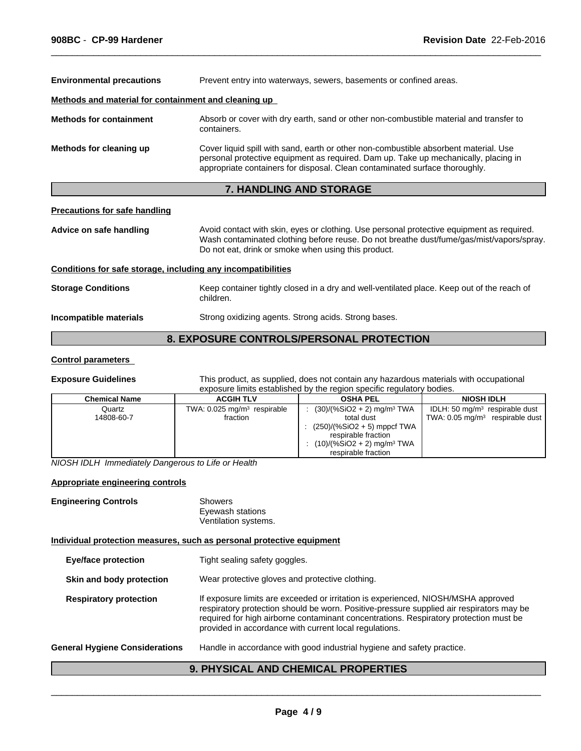| <b>Environmental precautions</b>                     | Prevent entry into waterways, sewers, basements or confined areas.                                                                                                                                                                                         |
|------------------------------------------------------|------------------------------------------------------------------------------------------------------------------------------------------------------------------------------------------------------------------------------------------------------------|
| Methods and material for containment and cleaning up |                                                                                                                                                                                                                                                            |
| <b>Methods for containment</b>                       | Absorb or cover with dry earth, sand or other non-combustible material and transfer to<br>containers.                                                                                                                                                      |
| Methods for cleaning up                              | Cover liquid spill with sand, earth or other non-combustible absorbent material. Use<br>personal protective equipment as required. Dam up. Take up mechanically, placing in<br>appropriate containers for disposal. Clean contaminated surface thoroughly. |
|                                                      | <b>7. HANDLING AND STORAGE</b>                                                                                                                                                                                                                             |

 $\overline{\phantom{a}}$  ,  $\overline{\phantom{a}}$  ,  $\overline{\phantom{a}}$  ,  $\overline{\phantom{a}}$  ,  $\overline{\phantom{a}}$  ,  $\overline{\phantom{a}}$  ,  $\overline{\phantom{a}}$  ,  $\overline{\phantom{a}}$  ,  $\overline{\phantom{a}}$  ,  $\overline{\phantom{a}}$  ,  $\overline{\phantom{a}}$  ,  $\overline{\phantom{a}}$  ,  $\overline{\phantom{a}}$  ,  $\overline{\phantom{a}}$  ,  $\overline{\phantom{a}}$  ,  $\overline{\phantom{a}}$ 

#### **Precautions for safe handling**

**Advice on safe handling** Avoid contact with skin, eyes or clothing. Use personal protective equipment as required. Wash contaminated clothing before reuse. Do not breathe dust/fume/gas/mist/vapors/spray. Do not eat, drink or smoke when using this product.

#### **Conditions for safe storage, including any incompatibilities**

**Storage Conditions** Keep container tightly closed in a dry and well-ventilated place. Keep out of the reach of children. **Incompatible materials** Strong oxidizing agents. Strong acids. Strong bases.

## **8. EXPOSURE CONTROLS/PERSONAL PROTECTION**

#### **Control parameters**

**Exposure Guidelines** This product, as supplied, does not contain any hazardous materials with occupational exposure limits established by the region specific regulatory bodies.

| <b>Chemical Name</b> | <b>ACGIH TLV</b>                                    | <b>OSHA PEL</b>                                                                                                         | <b>NIOSH IDLH</b>                                                              |
|----------------------|-----------------------------------------------------|-------------------------------------------------------------------------------------------------------------------------|--------------------------------------------------------------------------------|
| Quartz<br>14808-60-7 | TWA: 0.025 mg/m <sup>3</sup> respirable<br>fraction | $(30)/(%SiO2 + 2)$ mg/m <sup>3</sup> TWA<br>total dust                                                                  | IDLH: 50 $mq/m3$ respirable dust<br>TWA: $0.05 \text{ mg/m}^3$ respirable dust |
|                      |                                                     | $(250)/(%SiO2 + 5)$ mppcf TWA<br>respirable fraction<br>$(10)/(%SiO2 + 2)$ mg/m <sup>3</sup> TWA<br>respirable fraction |                                                                                |

*NIOSH IDLH Immediately Dangerous to Life or Health*

#### **Appropriate engineering controls**

| <b>Engineering Controls</b> | Showers              |
|-----------------------------|----------------------|
|                             | Eyewash stations     |
|                             | Ventilation systems. |

#### **Individual protection measures, such as personal protective equipment**

| <b>Eye/face protection</b>            | Tight sealing safety goggles.                                                                                                                                                                                                                                                                                                    |
|---------------------------------------|----------------------------------------------------------------------------------------------------------------------------------------------------------------------------------------------------------------------------------------------------------------------------------------------------------------------------------|
| Skin and body protection              | Wear protective gloves and protective clothing.                                                                                                                                                                                                                                                                                  |
| <b>Respiratory protection</b>         | If exposure limits are exceeded or irritation is experienced, NIOSH/MSHA approved<br>respiratory protection should be worn. Positive-pressure supplied air respirators may be<br>required for high airborne contaminant concentrations. Respiratory protection must be<br>provided in accordance with current local regulations. |
| <b>General Hygiene Considerations</b> | Handle in accordance with good industrial hygiene and safety practice.                                                                                                                                                                                                                                                           |
|                                       |                                                                                                                                                                                                                                                                                                                                  |

## **9. PHYSICAL AND CHEMICAL PROPERTIES**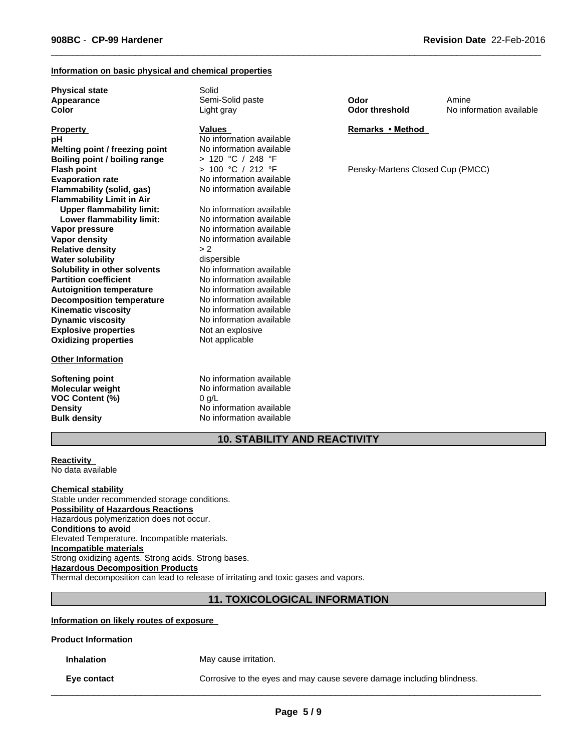#### **Information on basic physical and chemical properties**

**Physical state** Solid **Appearance Color**

| <b>Property</b>                  | <b>Values</b>            |
|----------------------------------|--------------------------|
| рH                               | No information available |
| Melting point / freezing point   | No information available |
| Boiling point / boiling range    | > 120 °C / 248 °F        |
| <b>Flash point</b>               | > 100 °C / 212 °F        |
| <b>Evaporation rate</b>          | No information available |
| Flammability (solid, gas)        | No information available |
| <b>Flammability Limit in Air</b> |                          |
| <b>Upper flammability limit:</b> | No information available |
| Lower flammability limit:        | No information available |
| Vapor pressure                   | No information available |
| Vapor density                    | No information available |
| <b>Relative density</b>          | > 2                      |
| <b>Water solubility</b>          | dispersible              |
| Solubility in other solvents     | No information available |
| <b>Partition coefficient</b>     | No information available |
| <b>Autoignition temperature</b>  | No information available |
| <b>Decomposition temperature</b> | No information available |
| <b>Kinematic viscosity</b>       | No information available |
| <b>Dynamic viscosity</b>         | No information available |
| <b>Explosive properties</b>      | Not an explosive         |
| <b>Oxidizing properties</b>      | Not applicable           |
|                                  |                          |

#### **Other Information**

**VOC Content (%)** 0 g/L

Semi-Solid paste Light gray

#### **Values**

**Softening point** No information available **Molecular weight** No information available **Density** No information available **Bulk density** No information available **Odor Odor threshold**

 $\overline{\phantom{a}}$  ,  $\overline{\phantom{a}}$  ,  $\overline{\phantom{a}}$  ,  $\overline{\phantom{a}}$  ,  $\overline{\phantom{a}}$  ,  $\overline{\phantom{a}}$  ,  $\overline{\phantom{a}}$  ,  $\overline{\phantom{a}}$  ,  $\overline{\phantom{a}}$  ,  $\overline{\phantom{a}}$  ,  $\overline{\phantom{a}}$  ,  $\overline{\phantom{a}}$  ,  $\overline{\phantom{a}}$  ,  $\overline{\phantom{a}}$  ,  $\overline{\phantom{a}}$  ,  $\overline{\phantom{a}}$ 

No information available Amine

**Remarks•Method**

Pensky-Martens Closed Cup (PMCC)

## **10. STABILITY AND REACTIVITY**

**Reactivity**  No data available

#### **Chemical stability**

Stable under recommended storage conditions. **Possibility of Hazardous Reactions** Hazardous polymerization does not occur. **Conditions to avoid** Elevated Temperature. Incompatible materials. **Incompatible materials** Strong oxidizing agents. Strong acids. Strong bases. **Hazardous Decomposition Products** Thermal decomposition can lead to release of irritating and toxic gases and vapors.

## **11. TOXICOLOGICAL INFORMATION**

### **Information on likely routes of exposure**

**Product Information**

**Inhalation** May cause irritation.

**Eye contact** Corrosive to the eyes and may cause severe damage including blindness.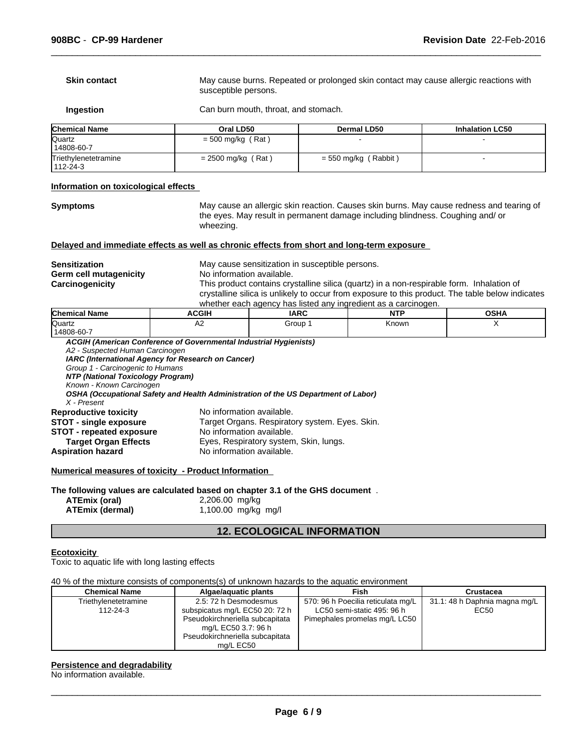| Chemical Name       | Oral LD50                                                                                                     | <b>Dermal LD50</b>                   | <b>Inhalation LC50</b> |  |
|---------------------|---------------------------------------------------------------------------------------------------------------|--------------------------------------|------------------------|--|
| Ingestion           |                                                                                                               | Can burn mouth, throat, and stomach. |                        |  |
| <b>Skin contact</b> | May cause burns. Repeated or prolonged skin contact may cause allergic reactions with<br>susceptible persons. |                                      |                        |  |

| <b>IGNETHICAL NAME</b>           | Urai LD50            | Dermal LD30            | innaiation LG50 |
|----------------------------------|----------------------|------------------------|-----------------|
| <b>Quartz</b>                    | $=$ 500 mg/kg (Rat)  |                        |                 |
| 14808-60-7                       |                      |                        |                 |
| Triethylenetetramine<br>112-24-3 | $= 2500$ mg/kg (Rat) | $=$ 550 mg/kg (Rabbit) |                 |

#### **Information on toxicological effects**

**Symptoms** May cause an allergic skin reaction. Causes skin burns. May cause redness and tearing of the eyes. May result in permanent damage including blindness. Coughing and/ or wheezing.

 $\overline{\phantom{a}}$  ,  $\overline{\phantom{a}}$  ,  $\overline{\phantom{a}}$  ,  $\overline{\phantom{a}}$  ,  $\overline{\phantom{a}}$  ,  $\overline{\phantom{a}}$  ,  $\overline{\phantom{a}}$  ,  $\overline{\phantom{a}}$  ,  $\overline{\phantom{a}}$  ,  $\overline{\phantom{a}}$  ,  $\overline{\phantom{a}}$  ,  $\overline{\phantom{a}}$  ,  $\overline{\phantom{a}}$  ,  $\overline{\phantom{a}}$  ,  $\overline{\phantom{a}}$  ,  $\overline{\phantom{a}}$ 

#### **Delayed and immediate effects as well as chronic effects from short and long-term exposure**

**Germ cell mutagenicity<br>Carcinogenicity** 

**Sensitization**<br> **Sensitization**<br> **Germ cell mutagenicity**<br> **No** information available. This product contains crystalline silica (quartz) in a non-respirable form. Inhalation of crystalline silica is unlikely to occur from exposure to this product. The table below indicates whether each agency has listed any ingredient as a carcinogen.

| <b>Chemical Name</b>                                 | <b>ACGIH</b>                                                      | <b>IARC</b>                                                                        | <b>NTP</b> | <b>OSHA</b> |
|------------------------------------------------------|-------------------------------------------------------------------|------------------------------------------------------------------------------------|------------|-------------|
| <b>Quartz</b>                                        | A2                                                                | Group 1                                                                            | Known      | х           |
| 14808-60-7                                           |                                                                   |                                                                                    |            |             |
|                                                      | ACGIH (American Conference of Governmental Industrial Hygienists) |                                                                                    |            |             |
| A2 - Suspected Human Carcinogen                      |                                                                   |                                                                                    |            |             |
|                                                      | IARC (International Agency for Research on Cancer)                |                                                                                    |            |             |
| Group 1 - Carcinogenic to Humans                     |                                                                   |                                                                                    |            |             |
| NTP (National Toxicology Program)                    |                                                                   |                                                                                    |            |             |
| Known - Known Carcinogen                             |                                                                   |                                                                                    |            |             |
|                                                      |                                                                   | OSHA (Occupational Safety and Health Administration of the US Department of Labor) |            |             |
| X - Present                                          |                                                                   |                                                                                    |            |             |
| <b>Reproductive toxicity</b>                         |                                                                   | No information available.                                                          |            |             |
| <b>STOT - single exposure</b>                        |                                                                   | Target Organs. Respiratory system. Eyes. Skin.                                     |            |             |
| <b>STOT - repeated exposure</b>                      |                                                                   | No information available.                                                          |            |             |
| <b>Target Organ Effects</b>                          |                                                                   | Eyes, Respiratory system, Skin, lungs.                                             |            |             |
| <b>Aspiration hazard</b>                             |                                                                   | No information available.                                                          |            |             |
|                                                      |                                                                   |                                                                                    |            |             |
| Numerical measures of toxicity - Product Information |                                                                   |                                                                                    |            |             |
|                                                      |                                                                   |                                                                                    |            |             |

**The following values are calculated based on chapter 3.1 of the GHS document** . **ATEmix (oral)** 2,206.00 mg/kg<br>**ATEmix (dermal)** 1,100.00 mg/kg **ATEmix (dermal)** 1,100.00 mg/kg mg/l

## **12. ECOLOGICAL INFORMATION**

#### **Ecotoxicity**

Toxic to aquatic life with long lasting effects

40 % of the mixture consists of components(s) of unknown hazards to the aquatic environment

| Chemical Name        | Algae/aquatic plants            | Fish                               | Crustacea                     |
|----------------------|---------------------------------|------------------------------------|-------------------------------|
| Triethylenetetramine | 2.5: 72 h Desmodesmus           | 570: 96 h Poecilia reticulata mg/L | 31.1: 48 h Daphnia magna mg/L |
| 112-24-3             | subspicatus mg/L EC50 20: 72 h  | LC50 semi-static 495: 96 h         | EC50                          |
|                      | Pseudokirchneriella subcapitata | Pimephales promelas mg/L LC50      |                               |
|                      | mg/L EC50 3.7: 96 h             |                                    |                               |
|                      | Pseudokirchneriella subcapitata |                                    |                               |
|                      | ma/L EC50                       |                                    |                               |

#### **Persistence and degradability**

No information available.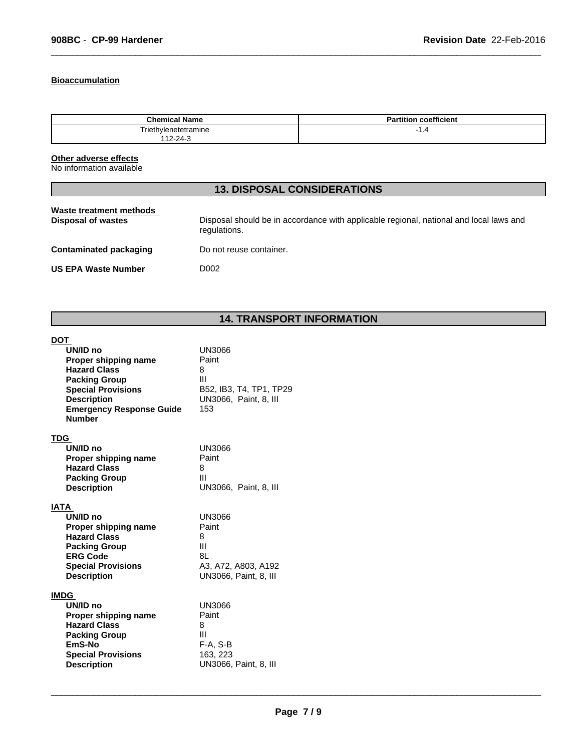## **Bioaccumulation**

| Chemica.<br>าme      | $-0.1$<br>coefficient |
|----------------------|-----------------------|
| Triethylenetetramine | 1.4                   |
| 11 O O A             |                       |

 $\overline{\phantom{a}}$  ,  $\overline{\phantom{a}}$  ,  $\overline{\phantom{a}}$  ,  $\overline{\phantom{a}}$  ,  $\overline{\phantom{a}}$  ,  $\overline{\phantom{a}}$  ,  $\overline{\phantom{a}}$  ,  $\overline{\phantom{a}}$  ,  $\overline{\phantom{a}}$  ,  $\overline{\phantom{a}}$  ,  $\overline{\phantom{a}}$  ,  $\overline{\phantom{a}}$  ,  $\overline{\phantom{a}}$  ,  $\overline{\phantom{a}}$  ,  $\overline{\phantom{a}}$  ,  $\overline{\phantom{a}}$ 

## **Other adverse effects**

No information available

# **13. DISPOSAL CONSIDERATIONS**

# **14. TRANSPORT INFORMATION**

| <b>DOT</b><br>UN/ID no<br>Proper shipping name<br><b>Hazard Class</b><br><b>Packing Group</b><br><b>Special Provisions</b><br><b>Description</b><br><b>Emergency Response Guide</b><br><b>Number</b> | <b>UN3066</b><br>Paint<br>8<br>Ш<br>B52, IB3, T4, TP1, TP29<br>UN3066, Paint, 8, III<br>153 |
|------------------------------------------------------------------------------------------------------------------------------------------------------------------------------------------------------|---------------------------------------------------------------------------------------------|
| <b>TDG</b><br>UN/ID no<br>Proper shipping name<br><b>Hazard Class</b><br><b>Packing Group</b><br><b>Description</b>                                                                                  | <b>UN3066</b><br>Paint<br>8<br>Ш<br>UN3066, Paint, 8, III                                   |
| IATA<br>UN/ID no<br>Proper shipping name<br><b>Hazard Class</b><br><b>Packing Group</b><br><b>ERG Code</b><br><b>Special Provisions</b><br><b>Description</b>                                        | UN3066<br>Paint<br>8<br>Ш<br>8L<br>A3, A72, A803, A192<br><b>UN3066, Paint, 8, III</b>      |
| <b>IMDG</b><br>UN/ID no<br>Proper shipping name<br><b>Hazard Class</b><br><b>Packing Group</b><br>EmS-No<br><b>Special Provisions</b><br><b>Description</b>                                          | <b>UN3066</b><br>Paint<br>8<br>Ш<br>F-A, S-B<br>163, 223<br>UN3066, Paint, 8, III           |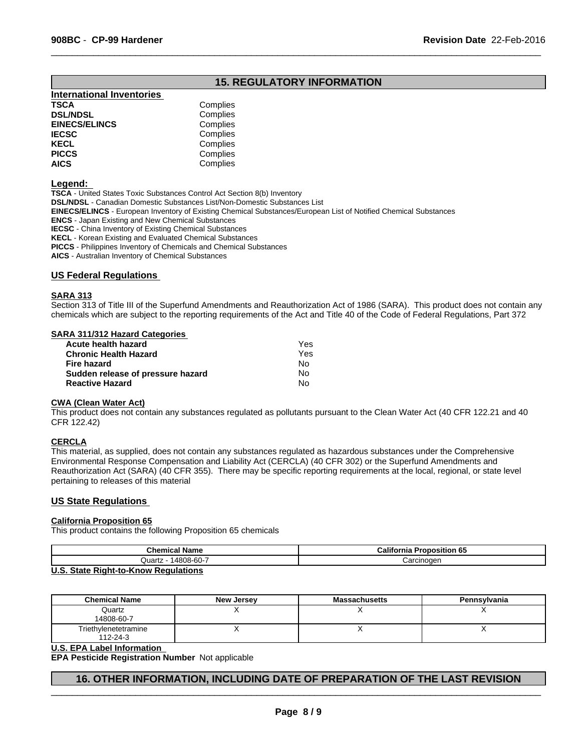## **15. REGULATORY INFORMATION**

 $\overline{\phantom{a}}$  ,  $\overline{\phantom{a}}$  ,  $\overline{\phantom{a}}$  ,  $\overline{\phantom{a}}$  ,  $\overline{\phantom{a}}$  ,  $\overline{\phantom{a}}$  ,  $\overline{\phantom{a}}$  ,  $\overline{\phantom{a}}$  ,  $\overline{\phantom{a}}$  ,  $\overline{\phantom{a}}$  ,  $\overline{\phantom{a}}$  ,  $\overline{\phantom{a}}$  ,  $\overline{\phantom{a}}$  ,  $\overline{\phantom{a}}$  ,  $\overline{\phantom{a}}$  ,  $\overline{\phantom{a}}$ 

| <b>International Inventories</b> |          |
|----------------------------------|----------|
| TSCA                             | Complies |
| <b>DSL/NDSL</b>                  | Complies |
| <b>EINECS/ELINCS</b>             | Complies |
| <b>IECSC</b>                     | Complies |
| KECL                             | Complies |
| <b>PICCS</b>                     | Complies |
| <b>AICS</b>                      | Complies |
|                                  |          |

#### **Legend:**

**TSCA** - United States Toxic Substances Control Act Section 8(b) Inventory **DSL/NDSL** - Canadian Domestic Substances List/Non-Domestic Substances List **EINECS/ELINCS** - European Inventory of Existing Chemical Substances/European List of Notified Chemical Substances **ENCS** - Japan Existing and New Chemical Substances **IECSC** - China Inventory of Existing Chemical Substances **KECL** - Korean Existing and Evaluated Chemical Substances **PICCS** - Philippines Inventory of Chemicals and Chemical Substances

**AICS** - Australian Inventory of Chemical Substances

#### **US Federal Regulations**

#### **SARA 313**

Section 313 of Title III of the Superfund Amendments and Reauthorization Act of 1986 (SARA). This product does not contain any chemicals which are subject to the reporting requirements of the Act and Title 40 of the Code of Federal Regulations, Part 372

#### **SARA 311/312 Hazard Categories**

| Acute health hazard               | Yes |  |
|-----------------------------------|-----|--|
| <b>Chronic Health Hazard</b>      | Yes |  |
| Fire hazard                       | N٥  |  |
| Sudden release of pressure hazard | No  |  |
| <b>Reactive Hazard</b>            | N٥  |  |
|                                   |     |  |

#### **CWA (Clean Water Act)**

This product does not contain any substances regulated as pollutants pursuant to the Clean Water Act (40 CFR 122.21 and 40 CFR 122.42)

#### **CERCLA**

This material, as supplied, does not contain any substances regulated as hazardous substances under the Comprehensive Environmental Response Compensation and Liability Act (CERCLA) (40 CFR 302) or the Superfund Amendments and Reauthorization Act (SARA) (40 CFR 355). There may be specific reporting requirements at the local, regional, or state level pertaining to releases of this material

#### **US State Regulations**

## **California Proposition 65**

This product contains the following Proposition 65 chemicals

| <b>Chemical Name</b> | California<br><b>Proposition 65</b> |
|----------------------|-------------------------------------|
| 14808-60-7<br>Quartz | Carcinogen                          |
| .<br>.<br>-          |                                     |

#### **U.S. State Right-to-Know Regulations**

| <b>Chemical Name</b>             | New Jersey | <b>Massachusetts</b> | Pennsylvania |
|----------------------------------|------------|----------------------|--------------|
| Quartz<br>14808-60-7             |            |                      |              |
| Triethylenetetramine<br>112-24-3 |            |                      |              |

#### **U.S. EPA Label Information**

**EPA Pesticide Registration Number** Not applicable

## **16. OTHER INFORMATION, INCLUDING DATE OF PREPARATION OF THE LAST REVISION**